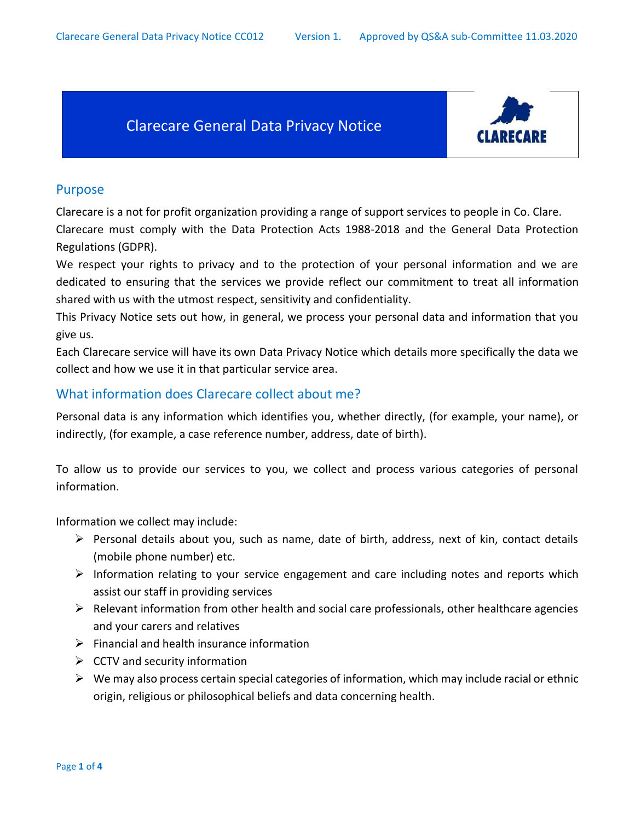# Clarecare General Data Privacy Notice



### Purpose

Clarecare is a not for profit organization providing a range of support services to people in Co. Clare. Clarecare must comply with the Data Protection Acts 1988-2018 and the General Data Protection Regulations (GDPR).

We respect your rights to privacy and to the protection of your personal information and we are dedicated to ensuring that the services we provide reflect our commitment to treat all information shared with us with the utmost respect, sensitivity and confidentiality.

This Privacy Notice sets out how, in general, we process your personal data and information that you give us.

Each Clarecare service will have its own Data Privacy Notice which details more specifically the data we collect and how we use it in that particular service area.

### What information does Clarecare collect about me?

Personal data is any information which identifies you, whether directly, (for example, your name), or indirectly, (for example, a case reference number, address, date of birth).

To allow us to provide our services to you, we collect and process various categories of personal information.

Information we collect may include:

- $\triangleright$  Personal details about you, such as name, date of birth, address, next of kin, contact details (mobile phone number) etc.
- $\triangleright$  Information relating to your service engagement and care including notes and reports which assist our staff in providing services
- $\triangleright$  Relevant information from other health and social care professionals, other healthcare agencies and your carers and relatives
- $\triangleright$  Financial and health insurance information
- $\triangleright$  CCTV and security information
- $\triangleright$  We may also process certain special categories of information, which may include racial or ethnic origin, religious or philosophical beliefs and data concerning health.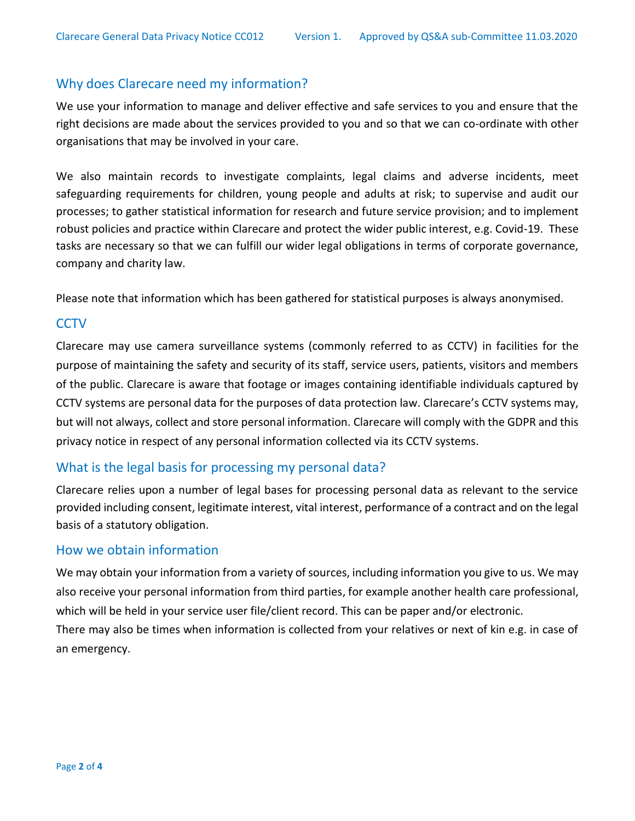### Why does Clarecare need my information?

We use your information to manage and deliver effective and safe services to you and ensure that the right decisions are made about the services provided to you and so that we can co-ordinate with other organisations that may be involved in your care.

We also maintain records to investigate complaints, legal claims and adverse incidents, meet safeguarding requirements for children, young people and adults at risk; to supervise and audit our processes; to gather statistical information for research and future service provision; and to implement robust policies and practice within Clarecare and protect the wider public interest, e.g. Covid-19. These tasks are necessary so that we can fulfill our wider legal obligations in terms of corporate governance, company and charity law.

Please note that information which has been gathered for statistical purposes is always anonymised.

### **CCTV**

Clarecare may use camera surveillance systems (commonly referred to as CCTV) in facilities for the purpose of maintaining the safety and security of its staff, service users, patients, visitors and members of the public. Clarecare is aware that footage or images containing identifiable individuals captured by CCTV systems are personal data for the purposes of data protection law. Clarecare's CCTV systems may, but will not always, collect and store personal information. Clarecare will comply with the GDPR and this privacy notice in respect of any personal information collected via its CCTV systems.

### What is the legal basis for processing my personal data?

Clarecare relies upon a number of legal bases for processing personal data as relevant to the service provided including consent, legitimate interest, vital interest, performance of a contract and on the legal basis of a statutory obligation.

#### How we obtain information

We may obtain your information from a variety of sources, including information you give to us. We may also receive your personal information from third parties, for example another health care professional, which will be held in your service user file/client record. This can be paper and/or electronic. There may also be times when information is collected from your relatives or next of kin e.g. in case of an emergency.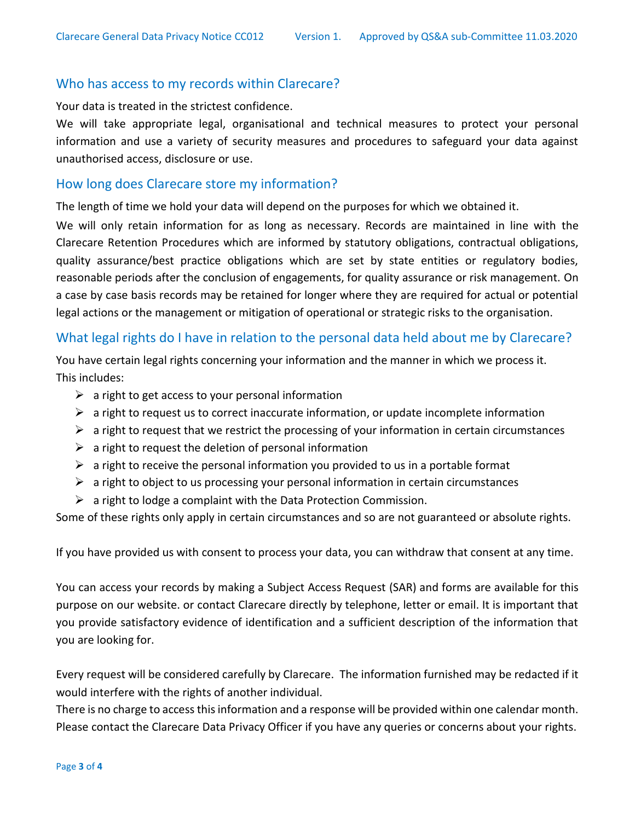#### Who has access to my records within Clarecare?

Your data is treated in the strictest confidence.

We will take appropriate legal, organisational and technical measures to protect your personal information and use a variety of security measures and procedures to safeguard your data against unauthorised access, disclosure or use.

#### How long does Clarecare store my information?

The length of time we hold your data will depend on the purposes for which we obtained it.

We will only retain information for as long as necessary. Records are maintained in line with the Clarecare Retention Procedures which are informed by statutory obligations, contractual obligations, quality assurance/best practice obligations which are set by state entities or regulatory bodies, reasonable periods after the conclusion of engagements, for quality assurance or risk management. On a case by case basis records may be retained for longer where they are required for actual or potential legal actions or the management or mitigation of operational or strategic risks to the organisation.

### What legal rights do I have in relation to the personal data held about me by Clarecare?

You have certain legal rights concerning your information and the manner in which we process it. This includes:

- $\triangleright$  a right to get access to your personal information
- $\triangleright$  a right to request us to correct inaccurate information, or update incomplete information
- $\triangleright$  a right to request that we restrict the processing of your information in certain circumstances
- $\triangleright$  a right to request the deletion of personal information
- $\triangleright$  a right to receive the personal information you provided to us in a portable format
- $\triangleright$  a right to object to us processing your personal information in certain circumstances
- $\triangleright$  a right to lodge a complaint with the Data Protection Commission.

Some of these rights only apply in certain circumstances and so are not guaranteed or absolute rights.

If you have provided us with consent to process your data, you can withdraw that consent at any time.

You can access your records by making a Subject Access Request (SAR) and forms are available for this purpose on our website. or contact Clarecare directly by telephone, letter or email. It is important that you provide satisfactory evidence of identification and a sufficient description of the information that you are looking for.

Every request will be considered carefully by Clarecare. The information furnished may be redacted if it would interfere with the rights of another individual.

There is no charge to access this information and a response will be provided within one calendar month. Please contact the Clarecare Data Privacy Officer if you have any queries or concerns about your rights.